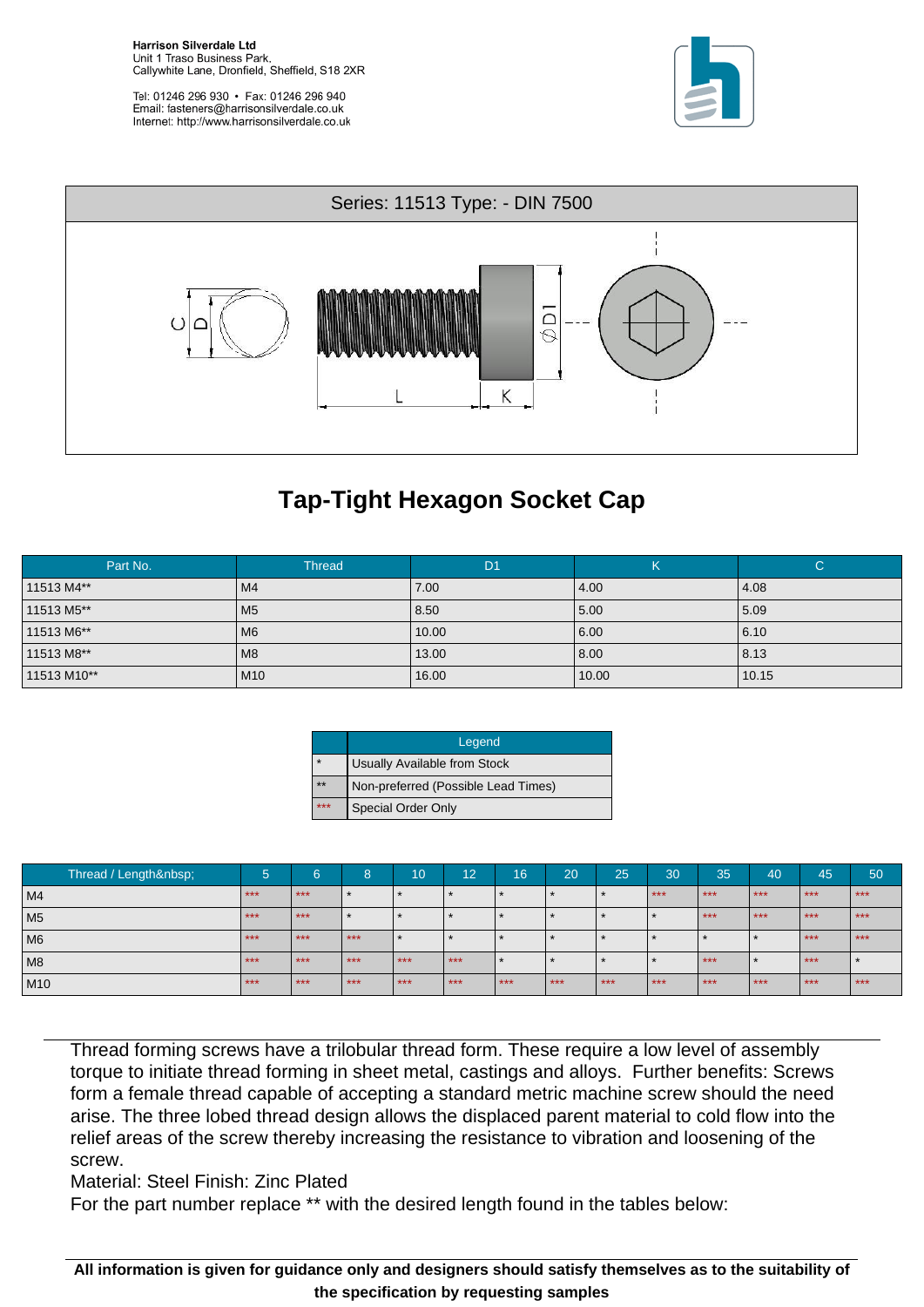**Harrison Silverdale Ltd** Unit 1 Traso Business Park, Callywhite Lane, Dronfield, Sheffield, S18 2XR





## **Tap-Tight Hexagon Socket Cap**

| Part No.    | <b>Thread</b>   | D <sub>1</sub> | N     | C     |
|-------------|-----------------|----------------|-------|-------|
| 11513 M4**  | M <sub>4</sub>  | 7.00           | 4.00  | 4.08  |
| 11513 M5**  | M <sub>5</sub>  | 8.50           | 5.00  | 5.09  |
| 11513 M6**  | M <sub>6</sub>  | 10.00          | 6.00  | 6.10  |
| 11513 M8**  | M <sub>8</sub>  | 13.00          | 8.00  | 8.13  |
| 11513 M10** | M <sub>10</sub> | 16.00          | 10.00 | 10.15 |

|         | Legend                              |
|---------|-------------------------------------|
| $\star$ | Usually Available from Stock        |
| $**$    | Non-preferred (Possible Lead Times) |
| $***$   | <b>Special Order Only</b>           |

| Thread / Length | $\overline{\phantom{a}}$<br>Ð | 6     | 8     | 10      | 12      | 16    | 20    | 25    | 30    | 35    | 40      | 45    | 50    |
|-----------------|-------------------------------|-------|-------|---------|---------|-------|-------|-------|-------|-------|---------|-------|-------|
| M <sub>4</sub>  | $***$                         | $***$ |       |         | $\star$ |       |       |       | $***$ | $***$ | $***$   | $***$ | $***$ |
| M <sub>5</sub>  | $***$                         | $***$ |       |         |         |       |       |       |       | $***$ | $***$   | $***$ | $***$ |
| M <sub>6</sub>  | $***$                         | $***$ | $***$ | $\star$ |         |       |       |       |       |       |         | $***$ | $***$ |
| M8              | $***$                         | $***$ | $***$ | $***$   | $***$   |       |       |       |       | $***$ | $\star$ | $***$ |       |
| M10             | $***$                         | $***$ | $***$ | $***$   | $***$   | $***$ | $***$ | $***$ | $***$ | $***$ | $***$   | $***$ | $***$ |

Thread forming screws have a trilobular thread form. These require a low level of assembly torque to initiate thread forming in sheet metal, castings and alloys. Further benefits: Screws form a female thread capable of accepting a standard metric machine screw should the need arise. The three lobed thread design allows the displaced parent material to cold flow into the relief areas of the screw thereby increasing the resistance to vibration and loosening of the screw.

Material: Steel Finish: Zinc Plated

For the part number replace \*\* with the desired length found in the tables below:

All information is given for guidance only and designers should satisfy themselves as to the suitability of the specification by requesting samples